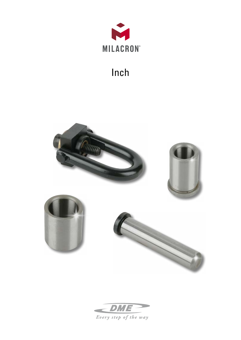

# Inch



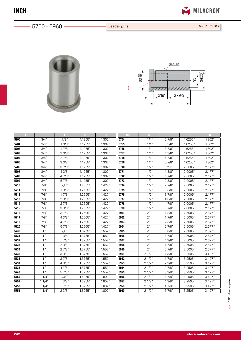

 $-5700 - 5960 -$ 

Leader pins Mat.: C1117 - USA





| REF  | G               |         |         | D       | REF  | G               |         |         | D       |
|------|-----------------|---------|---------|---------|------|-----------------|---------|---------|---------|
| 5700 | 3/4''           | 7/8''   | 1.1255" | 1.302"  | 5754 | 11/4"           | 27/8"   | 1.6255" | 1.802"  |
| 5701 | $3/4$ "         | 13/8"   | 1.1255" | 1.302"  | 5755 | 11/4"           | 33/8"   | 1.6255" | 1.802"  |
| 5702 | $3/4$ "         | 17/8"   | 1.1255" | 1.302"  | 5756 | 11/4"           | 37/8"   | 1.6255" | 1.802"  |
| 5703 | $3/4$ "         | 23/8"   | 1.1255" | 1.302"  | 5757 | 11/4"           | 4 3/8"  | 1.6255" | 1.802"  |
| 5704 | $3/4$ "         | 27/8"   | 1.1255" | 1.302'' | 5758 | 11/4"           | 4 7/8"  | 1.6255" | 1.802"  |
| 5705 | $3/4$ "         | 33/8"   | 1.1255" | 1.302'' | 5760 | 11/4"           | 5 7/8"  | 1.6255" | 1.802"  |
| 5706 | $3/4$ "         | 37/8"   | 1.1255" | 1.302'' | 5770 | 11/2"           | $7/8$ " | 2.0005" | 2.177'' |
| 5707 | $3/4$ "         | 4 3/8"  | 1.1255" | 1.302"  | 5771 | 11/2"           | 13/8"   | 2.0005" | 2.177"  |
| 5708 | $3/4$ "         | 4 7/8"  | 1.1255" | 1.302"  | 5772 | 11/2"           | 17/8"   | 2.0005" | 2.177"  |
| 5709 | $3/4$ "         | 5 7/8"  | 1.1255" | 1.302"  | 5773 | 11/2"           | 23/8"   | 2.0005" | 2.177'' |
| 5710 | 7/8"            | 7/8"    | 1.2505" | 1.427'' | 5774 | 11/2"           | 27/8"   | 2.0005" | 2.177"  |
| 5711 | 7/8"            | 13/8"   | 1.2505" | 1.427'' | 5775 | 11/2"           | 33/8"   | 2.0005" | 2.177'' |
| 5712 | 7/8"            | 17/8"   | 1.2505" | 1.427'' | 5776 | 11/2"           | 37/8"   | 2.0005" | 2.177'' |
| 5713 | 7/8''           | 23/8"   | 1.2505" | 1.427'' | 5777 | 11/2"           | 4 3/8"  | 2.0005" | 2.177'' |
| 5714 | 7/8"            | 27/8"   | 1.2505" | 1.427'' | 5778 | 11/2"           | 4 7/8"  | 2.0005" | 2.177'' |
| 5715 | 7/8"            | 33/8"   | 1.2505" | 1.427'' | 5780 | 11/2"           | 5 7/8"  | 2.0005" | 2.177'' |
| 5716 | 7/8"            | 37/8"   | 1.2505" | 1.427'' | 5901 | 2"              | 13/8"   | 2.5005" | 2.677'' |
| 5717 | 7/8"            | 4 3/8"  | 1.2505" | 1.427'' | 5902 | 2 <sup>''</sup> | 17/8"   | 2.5005" | 2.677'' |
| 5718 | 7/8"            | 4 7/8"  | 1.2505" | 1.427'' | 5903 | 2"              | 23/8"   | 2.5005" | 2.677"  |
| 5720 | 7/8"            | 5 7/8"  | 1.2505" | 1.427'' | 5904 | 2"              | 2 7/8"  | 2.5005" | 2.677"  |
| 5730 | 1 <sup>''</sup> | $7/8$ " | 1.3755" | 1.552"  | 5905 | 2 <sup>n</sup>  | 33/8"   | 2.5005" | 2.677"  |
| 5731 | 1''             | 13/8"   | 1.3755" | 1.552'' | 5906 | 2"              | 3 7/8"  | 2.5005" | 2.677"  |
| 5732 | 1 <sup>''</sup> | 17/8"   | 1.3755" | 1.552"  | 5907 | 2"              | 4 3/8"  | 2.5005" | 2.677"  |
| 5733 | 1 <sup>''</sup> | 23/8"   | 1.3755" | 1.552"  | 5908 | 2"              | 4 7/8"  | 2.5005" | 2.677"  |
| 5734 | 1 <sup>''</sup> | 27/8"   | 1.3755" | 1.552"  | 5910 | 2"              | 5 7/8"  | 2.5005" | 2.677"  |
| 5735 | 1 <sup>''</sup> | 33/8"   | 1.3755" | 1.552"  | 5951 | 21/2"           | 13/8"   | 3.2505" | 3.427'' |
| 5736 | 1"              | 37/8"   | 1.3755" | 1.552"  | 5952 | 21/2"           | 17/8"   | 3.2505" | 3.427'' |
| 5737 | 1 <sup>''</sup> | 4 3/8"  | 1.3755" | 1.552'' | 5953 | 21/2"           | 2 3/8"  | 3.2505" | 3.427'' |
| 5738 | 1 <sup>''</sup> | 4 7/8"  | 1.3755" | 1.552'' | 5954 | 21/2"           | 27/8"   | 3.2505" | 3.427'' |
| 5740 | 1 <sup>''</sup> | 5 7/8"  | 1.3755" | 1.552'' | 5955 | 21/2"           | 33/8"   | 3.2505" | 3.427'' |
| 5750 | 11/4"           | 7/8''   | 1.6255" | 1.802"  | 5956 | 21/2"           | 37/8"   | 3.2505" | 3.427'' |
| 5751 | 11/4"           | 13/8"   | 1.6255" | 1.802"  | 5957 | 21/2"           | 4 3/8"  | 3.2505" | 3.427'' |
| 5752 | 11/4"           | 17/8"   | 1.6255" | 1.802"  | 5958 | 21/2"           | 4 7/8"  | 3.2505" | 3.427'' |
| 5753 | 11/4"           | 23/8"   | 1.6255" | 1.802"  | 5960 | 21/2"           | 5 7/8"  | 3.2505" | 3.427'' |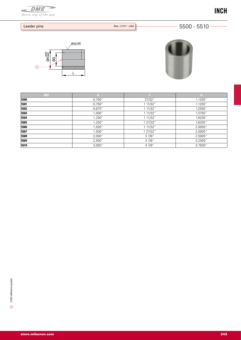# 5500 - 5510





| REF  |        |          | TT.     |
|------|--------|----------|---------|
| 5500 | 0,750" | 27/32"   | 1.1255" |
| 5501 | 0,750" | 1 11/32" | 1.1255" |
| 5502 | 0,875" | 1 11/32" | 1.2505" |
| 5503 | 1,000" | 1 11/32" | 1.3755" |
| 5504 | 1,250" | 1 11/32" | 1.6255" |
| 5505 | 1,250" | 1 27/32" | 1.6255" |
| 5506 | 1,500" | 1 11/32" | 2.0005" |
| 5507 | 1,500" | 1 27/32" | 2.0005" |
| 5508 | 2,000" | 37/8"    | 2.5005" |
| 5509 | 2,500" | 4 7/8"   | 3.2505" |
| 5510 | 3,000" | 4 7/8"   | 3.7505" |
|      |        |          |         |





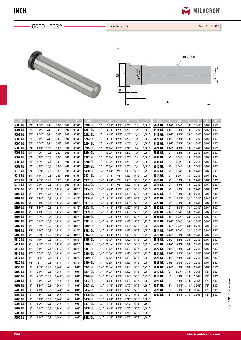

 $-5000 - 6032 -$ 

Leader pins Mat.: C1117 - USA





| REF.    | G               | M       |       |        |        |         | REF.    | G               | M       |       |        |        | P      | REF     | G     | M       |          |        |        |         |
|---------|-----------------|---------|-------|--------|--------|---------|---------|-----------------|---------|-------|--------|--------|--------|---------|-------|---------|----------|--------|--------|---------|
| 5000 GL | 3/4'            | 13/4"   | 7/8"  | 0.99'  | 3/16'' | 0,751'' | 5210 GL | 1"              | 73/4"   | 17/8" | 1,240" | 1/4"   | 1,001" | 5414 GL | 11/2" | 93/4"   | 17/8"    | 1,740  | 5/16'' | 1,501"  |
| 5001 GL | 3/4'            | 21/4"   | 7/8'' | 0.99'  | 3/16'' | 0,751"  | 5211 GL | 1 <sup>''</sup> | 81/4"   | 17/8" | 1,240' | 1/4"   | 1,001" | 5416 GL | 11/2" | 10 3/4" | 17/8"    | 1,740  | 5/16"  | 1,501"  |
| 5002 GL | 3/4'            | 23/4"   | 7/8'' | 0.99'' | 3/16'' | 0,751'' | 5212 GL | 1 <sup>''</sup> | 83/4"   | 17/8" | 1,240  | 1/4"   | 1,001" | 5418 GL | 11/2" | 11 3/4" | 17/8"    | 1,740  | 5/16'' | 1,501"  |
| 5003 GL | 3/4'            | 31/4"   | 7/8'' | 0.99'  | 3/16'' | 0,751'  | 5213 GL | 1 <sup>''</sup> | 91/4"   | 17/8" | 1,240' | 1/4''  | 1,001" | 5420 GL | 11/2" | 12 3/4' | $17/8$ " | 1.740' | 5/16'' | 1,501"  |
| 5004 GL | 3/4"            | 33/4"   | 7/8'' | 0.99'' | 3/16'' | 0,751'  | 5214 GL | 1 <sup>''</sup> | 93/4"   | 17/8" | 1,240' | 1/4"   | 1,001' | 5422 GL | 11/2" | 13 3/4" | 17/8"    | 1,740  | 5/16"  | 1,501"  |
| 5005 GL | 3/4'            | 4 1/4"  | 13/8' | 0.99'  | 3/16'  | 0,751'  | 5215 GL | 1 <sup>''</sup> | 10 1/4' | 17/8' | 1,240' | 1/4"   | 1,001' | 5424 GL | 11/2' | 14 3/4" | 17/8"    | 1,740  | 5/16"  | 1,501'  |
| 5006 GL | 3/4'            | 4 3/4"  | 13/8' | 0.99'  | 3/16'  | 0.751'  | 5216 GL | 1 <sup>''</sup> | 10 3/4' | 17/8' | 1,240  | 1/4"   | 1,001' | 5626 GL | 2"    | 15 3/4' | 17/8'    | 2,240' | 5/16'  | 2,001"  |
| 5007 GL | 3/4'            | 51/4"   | 13/8" | 0.99'' | 3/16"  | 0,751'  | 5217 GL | 1''             | 11 1/4" | 17/8" | 1,240' | 1/4"   | 1,001' | 5606 GL | 2"    | 53/4"   | 17/8"    | 2,240' | 5/16'' | 2,001'  |
| 5008 GL | 3/4'            | 53/4"   | 17/8' | 0.99'  | 3/16"  | 0,751'  | 5218 GL | 1 <sup>''</sup> | 11 3/4' | 17/8' | 1,240' | 1/4"   | 1.001' | 5608 GL | 2"    | 63/4"   | 17/8"    | 2,240' | 5/16"  | 2.001"  |
| 5009 GL | 3/4'            | 61/4"   | 17/8" | 0.99'' | 3/16'' | 0.751'  | 5219 GL | 1 <sup>''</sup> | 12 1/4' | 17/8' | 1,240  | 1/4''  | 1.001" | 5610 GL | 2"    | 73/4"   | 17/8"    | 2,240' | 5/16'' | 2,001"  |
| 5010 GL | 3/4'            | 63/4"   | 17/8" | 0.99'' | 3/16"  | 0,751'  | 5300 GL | 11/4            | 23/4"   | 7/8'' | 1,490  | 5/16'' | 1,251" | 5612 GL | 2"    | 83/4"   | 17/8"    | 2,240  | 5/16"  | 2,001"  |
| 5011 GL | 3/4"            | 71/4"   | 17/8" | 0.99'' | 3/16'' | 0,751'  | 5301 GL | 11/4'           | 31/4"   | 7/8'' | 1,490' | 5/16"  | 1,251" | 5614 GL | 2"    | 93/4"   | 17/8"    | 2,240' | 5/16"  | 2,001"  |
| 5012 GL | 3/4'            | 73/4"   | 17/8' | 0.99'' | 3/16'  | 0.751'  | 5302 GL | 11/4"           | 33/4"   | 7/8'' | 1,490' | 5/16'' | 1,251' | 5616 GL | 2"    | 10 3/4" | 17/8"    | 2,240  | 5/16'' | 2,001"  |
| 5015 GL | 3/4'            | 91/4"   | 17/8' | 1,115  | 3/16'  | 0,751'  | 5303 GL | 11/4            | 41/4"   | 7/8"  | 1,490  | 5/16'  | 1,251' | 5618 GL | 2"    | 11 3/4" | 17/8'    | 2,240' | 5/16'  | 2,001"  |
| 5099 GL | 7/8'            | 13/4"   | 17/8" | 1,115' | 1/4'   | 0,876   | 5304 GL | 11/4'           | 43/4"   | 13/8' | 1,490  | 5/16"  | 1,251' | 5620 GL | 2"    | 12 3/4" | 17/8"    | 2,240' | 5/16'' | 2,001"  |
| 5100 GL | 7/8'            | 21/4"   | 17/8" | 1,115" | 1/4"   | 0,876'  | 5305 GL | 11/4'           | 51/4"   | 13/8' | 1,490  | 5/16"  | 1,251' | 5622 GL | 2"    | 13 3/4" | 17/8"    | 2,240  | 5/16"  | 2,001"  |
| 5101 GL | 7/8'            | 23/4"   | 17/8" | 1,115" | 1/4"   | 0,876'  | 5306 GL | 11/4'           | 53/4"   | 13/8' | 1,490  | 5/16'' | 1,251" | 5624 GL | 2"    | 14 3/4" | 17/8"    | 2,240  | 5/16'' | 2,001"  |
| 5102 GL | 7/8'            | 31/4"   | 17/8" | 1,115" | 1/4'   | 0,876'  | 5307 GL | 11/4'           | 61/4"   | 13/8" | 1,490  | 5/16'' | 1,251" | 5626 GL | 2"    | 15 3/4" | 17/8"    | 2,240  | 5/16'' | 2,001"  |
| 5103 GL | 7/8'            | 33/4"   | 17/8" | 1,115" | 1/4''  | 0,876'  | 5308 GL | 11/4'           | 63/4"   | 17/8" | 1,490' | 5/16"  | 1,251" | 5632 GL | 2"    | 18 3/4" | 17/8"    | 2,240  | 5/16'' | 2,001"  |
| 5104 GL | 7/8'            | 41/4"   | 13/8" | 1,115" | 1/4''  | 0,876   | 5309 GL | 11/4'           | 71/4"   | 17/8" | 1,490' | 5/16'' | 1,251" | 5806 GL | 21/2' | 5 3/4"  | 23/8"    | 2,740  | 5/16'' | 2,501"  |
| 5105 GL | 7/8'            | 4 3/4"  | 13/8' | 1,115' | 1/4'   | 0,876'  | 5310 GL | 11/4'           | 73/4"   | 17/8' | 1,490  | 5/16'  | 1,251' | 5808 GL | 21/2' | 63/4"   | 23/8'    | 2,740  | 5/16'  | 2,501'  |
| 5106 GL | 7/8'            | 51/4"   | 13/8" | 1,115" | 1/4"   | 0,876'  | 5311 GL | 11/4'           | 81/4"   | 17/8" | 1,490  | 5/16"  | 1,251' | 5810 GL | 21/2" | 73/4"   | 23/8"    | 2,740  | 5/16'' | 2,501"  |
| 5107 GL | 7/8'            | 53/4"   | 13/8" | 1,115" | 1/4"   | 0,876'  | 5312 GL | 11/4'           | 83/4"   | 17/8" | 1,490  | 5/16"  | 1,251' | 5812 GL | 21/2' | 83/4"   | 23/8"    | 2,740' | 5/16'' | 2,501"  |
| 5108 GL | 7/8'            | 61/4"   | 17/8" | 1,115" | 1/4"   | 0,876'  | 5313 GL | 11/4'           | 91/4"   | 17/8" | 1,490' | 5/16'' | 1,251" | 5814 GL | 21/2" | 93/4"   | 23/8"    | 2,740" | 5/16'' | 2,501"  |
| 5109 GL | 7/8'            | 6 3/4"  | 17/8" | 1,115" | 1/4'   | 0.876'  | 5314 GL | 11/4'           | 93/4"   | 17/8" | 1,490  | 5/16'' | 1,251" | 5816 GL | 21/2' | 10 3/4" | 23/8"    | 2,740' | 5/16'' | 2,501"  |
| 5110 GL | 7/8'            | 71/4"   | 17/8" | 1,115" | 1/4"   | 0,876'  | 5315 GL | 11/4"           | 10 1/4" | 17/8" | 1,490' | 5/16'' | 1,251" | 5818 GL | 21/2" | 11 3/4" | 23/8"    | 2,740  | 5/16"  | 2,501"  |
| 5111 GL | 7/8'            | 73/4"   | 17/8" | 1,115" | 1/4"   | 0,876'  | 5316 GL | 11/4"           | 10 3/4" | 17/8" | 1,490' | 5/16"  | 1,251" | 5820 GL | 21/2" | 12 3/4" | 23/8"    | 2,740  | 5/16"  | 2,501"  |
| 5112 GL | 7/8'            | 81/4"   | 17/8' | 1,115' | 1/4'   | 0,876'  | 5317 GL | 11/4'           | 11 1/4' | 17/8' | 1,490  | 5/16'  | 1,251' | 5822 GL | 21/2' | 13 3/4' | 23/8'    | 2,740  | 5/16'  | 2,501"  |
| 5113 GL | 7/8'            | 83/4"   | 17/8" | 1,115" | 1/4"   | 0,876   | 5318 GL | 11/4'           | 11 3/4" | 17/8" | 1,490  | 5/16'' | 1,251' | 5824 GL | 21/2" | 14 3/4" | 23/8"    | 2,740' | 5/16'' | 2,501'  |
| 5117 GL | 7/8'            | 10 3/4' | 17/8" | 1,115" | 1/4'   | 0.876'  | 5319 GL | 11/4'           | 12 1/4" | 17/8' | 1,490  | 5/16"  | 1,251' | 5826 GL | 21/2" | 15 3/4" | 23/8"    | 2.740' | 5/16"  | 2.501'' |
| 5120 GL | 7/8'            | 12 1/4' | 17/8" | 1,115" | 1/4''  | 0.876'  | 5320 GL | 11/4'           | 12 3/4" | 17/8" | 1,490  | 5/16'' | 1,251" | 5828 GL | 21/2" | 16 3/4" | 23/8"    | 2,740  | 5/16'' | 2,501"  |
| 5198 GL | 1 <sup>''</sup> | 13/4"   | 17/8" | 1,240  | 1/4'   | 1,001'  | 5322 GL | 11/4'           | 13 3/4' | 17/8" | 1,490  | 5/16'' | 1,251' | 5832 GL | 21/2' | 18 3/4" | 23/8"    | 2,740  | 5/16"  | 2,501"  |
| 5199 GL | 1 <sup>''</sup> | 21/4"   | 17/8" | 1,240" | 1/4"   | 1,001'  | 5324 GL | 11/4'           | 14 3/4" | 17/8" | 1,490  | 5/16'' | 1,251" | 6012 GL | 3''   | 83/4"   | 21/8"    | 3,365  | 1/2"   | 3,001"  |
| 5200 GL | 1 <sup>''</sup> | 23/4"   | 17/8" | 1,240" | 1/4"   | 1,001'  | 5326 GL | 11/4"           | 15 3/4" | 17/8' | 1,490' | 5/16'' | 1,251' | 6016 GL | 3''   | 10 3/4" | 21/8"    | 3,365  | 1/2"   | 3,001"  |
| 5201 GL | 1''             | 31/4"   | 17/8' | 1,240' | 1/4'   | 1,001'  | 5402 GL | 11/4'           | 33/4"   | 13/8' | 1,490  | 5/16'' | 1,251' | 6020 GL | 3''   | 12 3/4' | 21/8"    | 3,365' | 1/2"   | 3,001"  |
| 5202 GL | 1 <sup>''</sup> | 33/4"   | 17/8" | 1,240" | 1/4"   | 1,001'  | 5403 GL | 11/2'           | 41/4"   | 13/8' | 1,740  | 5/16'' | 1,501  | 6024 GL | 3''   | 14 3/4" | 21/8"    | 3,365' | 1/2"   | 3,001'  |
| 5203 GL | 1 <sup>''</sup> | 41/4"   | 13/8" | 1,240" | 1/4"   | 1,001'  | 5404 GL | 11/2'           | 4 3/4"  | 13/8' | 1,740  | 5/16"  | 1,501  | 6028 GL | 3''   | 16 3/4" | 21/8'    | 3,365  | 1/2"   | 3,001"  |
| 5204 GL | 1"              | 4 3/4"  | 13/8" | 1,240" | 1/4"   | 1.001'  | 5405 GL | 11/2            | 51/4"   | 13/8' | 1,740  | 5/16"  | 1,501  | 6032 GL | 3''   | 18 3/4' | 21/8'    | 3,365  | 1/2"   | 3,001"  |
| 5205 GL | 1 <sup>''</sup> | 51/4"   | 13/8" | 1,240  | 1/4"   | 1,001'  | 5406 GL | 11/2'           | 53/4"   | 13/8' | 1,740  | 5/16"  | 1,501" |         |       |         |          |        |        |         |
| 5206 GL | 1''             | 53/4"   | 13/8" | 1,240" | 1/4''  | 1,001'  | 5407 GL | 11/2            | 61/4"   | 13/8" | 1,740' | 5/16"  | 1,501" |         |       |         |          |        |        |         |
| 5207 GL | 1 <sup>''</sup> | 61/4"   | 13/8" | 1,240" | 1/4''  | 1.001'  | 5408 GL | 11/2            | 63/4"   | 13/8' | 1,740' | 5/16'' | 1.501' |         |       |         |          |        |        |         |
| 5208 GL | 1 <sup>''</sup> | 63/4"   | 17/8' | 1,240  | 1/4'   | 1,001'  | 5410 GL | 11/2'           | 73/4"   | 17/8' | 1,740  | 5/16'  | 1,501  |         |       |         |          |        |        |         |
| 5209 GL | 1 <sup>n</sup>  | 71/4"   | 17/8" | 1.240" | 1/4"   | 1.001'' | 5412 GL | 11/2"           | 83/4"   | 17/8" | 1,740  | 5/16'' | 1,501" |         |       |         |          |        |        |         |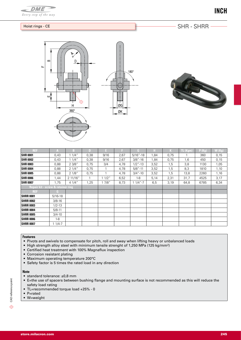

## Hoist rings - CE

SHR - SHRR -





| <b>REF</b>                         | A          | B        | n    | ы       |      | G            | н    | K    | TL (Kgm) | P(Kg) | W (Kg) |
|------------------------------------|------------|----------|------|---------|------|--------------|------|------|----------|-------|--------|
| <b>SHR 0001</b>                    | 0,43       | 11/4"    | 0,38 | 9/16    | 2,67 | $5/16" - 18$ | 1,84 | 0,75 |          | 360   | 0,15   |
| <b>SHR 0002</b>                    | 0,43       | 11/4"    | 0,38 | 9/16    | 2,67 | $3/8 - 16$   | 1,84 | 0,75 | 1,6      | 450   | 0,15   |
| <b>SHR 0003</b>                    | 0,88       | 23/8"    | 0,75 | 3/4     | 4,78 | $1/2$ "-13   | 3,52 | 1,5  | 3,8      | 1130  | 1,05   |
| <b>SHR 0004</b>                    | 0,88       | 21/4"    | 0,75 |         | 4,78 | $5/8" - 11$  | 3,52 | 1,5  | 8,3      | 1810  | 1,10   |
| <b>SHR 0005</b>                    | 0,88       | 21/8"    | 0,75 |         | 4,78 | $3/4$ "-10   | 3,52 | 1,5  | 13,8     | 2260  | 1,16   |
| <b>SHR 0006</b>                    | 1,44       | 2 11/16" |      | $1/2$ " | 6,52 | $1 - 8$      | 5,14 | 2,31 | 31,7     | 4525  | 3,17   |
| <b>SHR 0007</b>                    | 1,75       | 41/4"    | 1,25 | 7/8"    | 8,73 | $11/4 - 7$   | 6,5  | 3,19 | 64,8     | 6785  | 6,34   |
| Repair kit - screw & retainer ring |            |          |      |         |      |              |      |      |          |       |        |
| <b>REF</b>                         | G.         |          |      |         |      |              |      |      |          |       |        |
| <b>SHRR 0001</b>                   | $5/16-18$  |          |      |         |      |              |      |      |          |       |        |
| <b>SHRR 0002</b>                   | $3/8 - 16$ |          |      |         |      |              |      |      |          |       |        |
| <b>SHRR 0003</b>                   | $1/2 - 13$ |          |      |         |      |              |      |      |          |       |        |
| <b>SHRR 0004</b>                   | $5/8 - 11$ |          |      |         |      |              |      |      |          |       |        |
| <b>SHRR 0005</b>                   | $3/4 - 10$ |          |      |         |      |              |      |      |          |       |        |
| <b>SHRR 0006</b>                   | $1 - 8$    |          |      |         |      |              |      |      |          |       |        |
| <b>SHRR 0007</b>                   | 1 1/4-7    |          |      |         |      |              |      |      |          |       |        |

### **Features**

- • Pivots and swivels to compensate for pitch, roll and sway when lifting heavy or unbalanced loads
- High strength alloy steel with minimum tensile strenght of 1,250 MPa (125 kg/mm<sup>2</sup>)
- • Certified heat treatment with 100% Magnaflux inspection
- • Corrosion resistant plating
- • Maximum operating temperature 200°C
- Safety factor is 5 times the rated load in any direction

#### **Note**

- standard tolerance: ±0,8 mm
- • E=the use of spacers between bushing flange and mounting surface is not recommended as this will reduce the safety load rating
- TL=recommended torque load +25% 0
- P=rated
- • W=weight